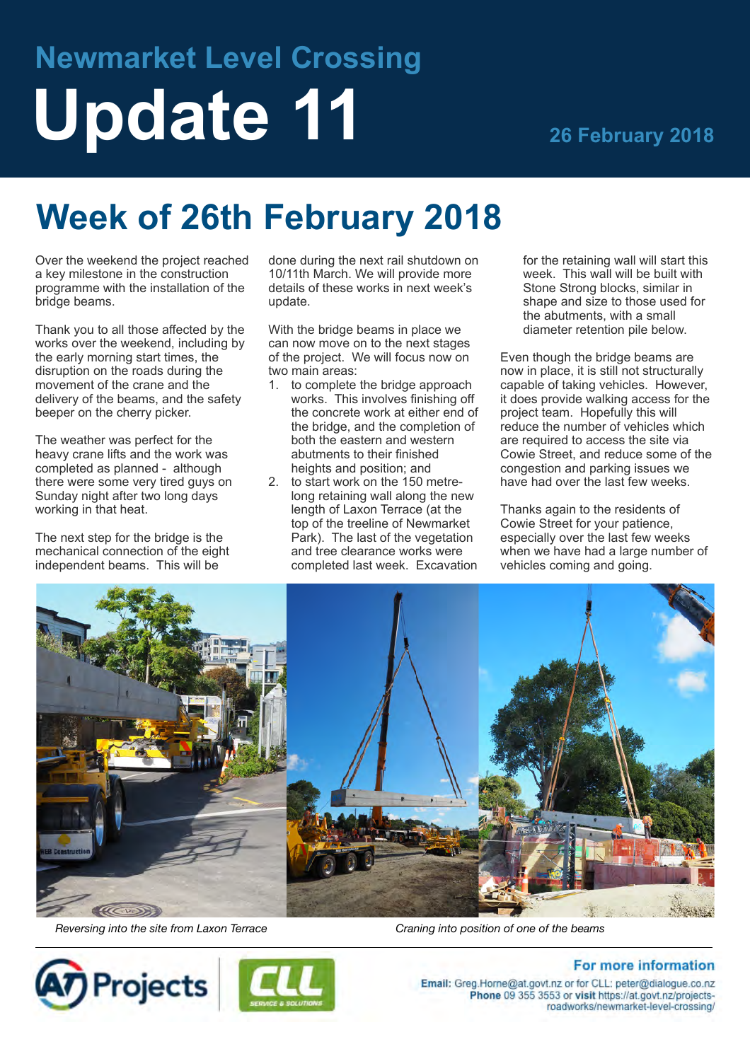# **Newmarket Level Crossing Update 11 26 February 2018**

# **Week of 26th February 2018**

Over the weekend the project reached a key milestone in the construction programme with the installation of the bridge beams.

Thank you to all those affected by the works over the weekend, including by the early morning start times, the disruption on the roads during the movement of the crane and the delivery of the beams, and the safety beeper on the cherry picker.

The weather was perfect for the heavy crane lifts and the work was completed as planned - although there were some very tired guys on Sunday night after two long days working in that heat.

The next step for the bridge is the mechanical connection of the eight independent beams. This will be

done during the next rail shutdown on 10/11th March. We will provide more details of these works in next week's update.

With the bridge beams in place we can now move on to the next stages of the project. We will focus now on two main areas:

- 1. to complete the bridge approach works. This involves finishing off the concrete work at either end of the bridge, and the completion of both the eastern and western abutments to their finished heights and position; and
- 2. to start work on the 150 metrelong retaining wall along the new length of Laxon Terrace (at the top of the treeline of Newmarket Park). The last of the vegetation and tree clearance works were completed last week. Excavation

for the retaining wall will start this week. This wall will be built with Stone Strong blocks, similar in shape and size to those used for the abutments, with a small diameter retention pile below.

Even though the bridge beams are now in place, it is still not structurally capable of taking vehicles. However, it does provide walking access for the project team. Hopefully this will reduce the number of vehicles which are required to access the site via Cowie Street, and reduce some of the congestion and parking issues we have had over the last few weeks.

Thanks again to the residents of Cowie Street for your patience, especially over the last few weeks when we have had a large number of vehicles coming and going.



*Reversing into the site from Laxon Terrace Craning into position of one of the beams*

**Projects** 



## **For more information**

Email: Greg.Horne@at.govt.nz or for CLL: peter@dialogue.co.nz Phone 09 355 3553 or visit https://at.govt.nz/projectsroadworks/newmarket-level-crossing/